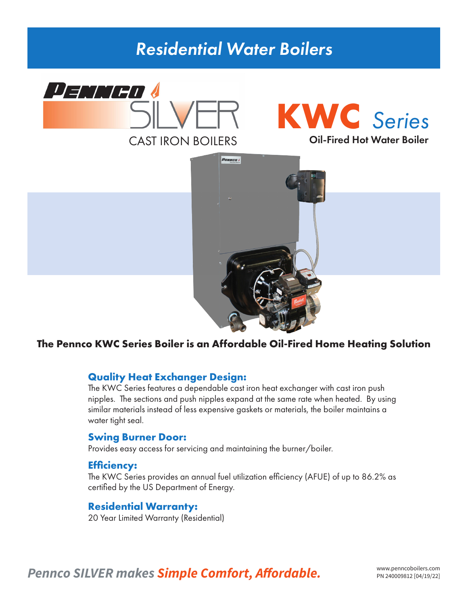### *Residential Water Boilers*



# **KWC** *Series*



#### **The Pennco KWC Series Boiler is an Affordable Oil-Fired Home Heating Solution**

#### **Quality Heat Exchanger Design:**

The KWC Series features a dependable cast iron heat exchanger with cast iron push nipples. The sections and push nipples expand at the same rate when heated. By using similar materials instead of less expensive gaskets or materials, the boiler maintains a water tight seal.

#### **Swing Burner Door:**

Provides easy access for servicing and maintaining the burner/boiler.

#### **Efficiency:**

The KWC Series provides an annual fuel utilization efficiency (AFUE) of up to 86.2% as certified by the US Department of Energy.

#### **Residential Warranty:**

20 Year Limited Warranty (Residential)